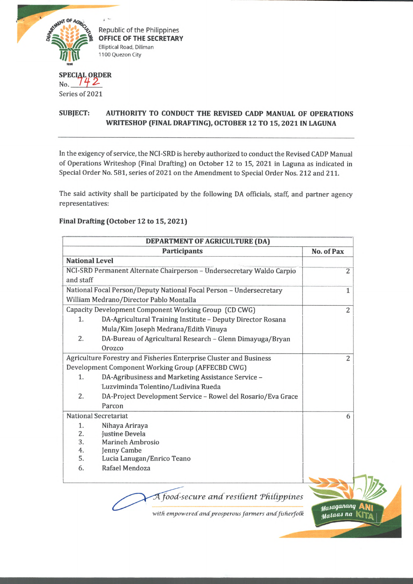

Republic of the Philippines **OFFICE OF THE SECRETARY** Elliptical Road, Diliman 1100 Quezon City

## **SPECIAL ORDER**  $_{\text{No.}}$   $142$ Series of 2021

## **SUBJECT: AUTHORITY TO CONDUCT THE REVISED CADP MANUAL OF OPERATIONS WRITESHOP (FINAL DRAFTING), OCTOBER 12 TO 15, 2021 IN LAGUNA**

In the exigency of service, the NCI-SRD is hereby authorized to conduct the Revised CADP Manual of Operations Writeshop (Final Drafting) on October 12 to 15, 2021 in Laguna as indicated in Special Order No. 581, series of 2021 on the Amendment to Special Order Nos. 212 and 211.

The said activity shall be participated by the following DA officials, staff, and partner agency representatives:

## **Final Drafting (October 12 to 15,2021)**

|                       | DEPARTMENT OF AGRICULTURE (DA)                                        |                          |
|-----------------------|-----------------------------------------------------------------------|--------------------------|
|                       | <b>Participants</b>                                                   | No. of Pax               |
| <b>National Level</b> |                                                                       |                          |
|                       | NCI-SRD Permanent Alternate Chairperson - Undersecretary Waldo Carpio | $\overline{2}$           |
| and staff             |                                                                       |                          |
|                       | National Focal Person/Deputy National Focal Person - Undersecretary   | $\mathbf{1}$             |
|                       | William Medrano/Director Pablo Montalla                               |                          |
|                       | Capacity Development Component Working Group (CD CWG)                 | $\overline{2}$           |
| 1.                    | DA-Agricultural Training Institute - Deputy Director Rosana           |                          |
|                       | Mula/Kim Joseph Medrana/Edith Vinuya                                  |                          |
| 2.                    | DA-Bureau of Agricultural Research - Glenn Dimayuga/Bryan             |                          |
|                       | Orozco                                                                |                          |
|                       | Agriculture Forestry and Fisheries Enterprise Cluster and Business    | $\overline{2}$           |
|                       | Development Component Working Group (AFFECBD CWG)                     |                          |
| 1.                    | DA-Agribusiness and Marketing Assistance Service -                    |                          |
|                       | Luzviminda Tolentino/Ludivina Rueda                                   |                          |
| 2.                    | DA-Project Development Service - Rowel del Rosario/Eva Grace          |                          |
|                       | Parcon                                                                |                          |
|                       | <b>National Secretariat</b>                                           | 6                        |
| 1.                    | Nihaya Ariraya                                                        |                          |
| 2.                    | Justine Devela                                                        |                          |
| 3.                    | <b>Marineh Ambrosio</b>                                               |                          |
| 4.<br>5.              | Jenny Cambe                                                           |                          |
|                       | Lucia Lanugan/Enrico Teano<br>Rafael Mendoza                          |                          |
| 6.                    |                                                                       |                          |
|                       |                                                                       |                          |
|                       | A food-secure and resilient Philippines                               |                          |
|                       | with empowered and prosperous farmers and fisherfolk                  | stasaganang<br>Mataas na |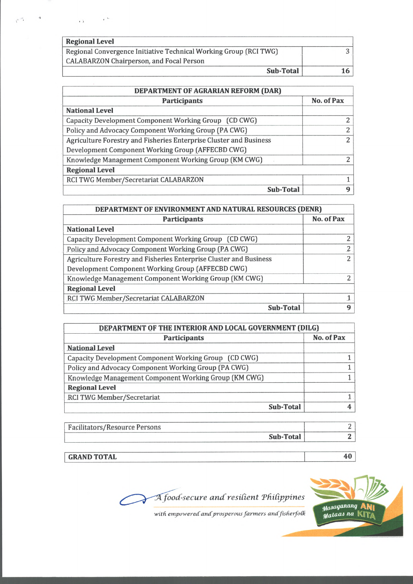| <b>Regional Level</b>                                             |                 |
|-------------------------------------------------------------------|-----------------|
| Regional Convergence Initiative Technical Working Group (RCI TWG) |                 |
| <b>CALABARZON Chairperson, and Focal Person</b>                   |                 |
| Sub-Total                                                         | 16 <sup>1</sup> |

| DEPARTMENT OF AGRARIAN REFORM (DAR)                                |                |  |  |
|--------------------------------------------------------------------|----------------|--|--|
| <b>Participants</b>                                                | No. of Pax     |  |  |
| <b>National Level</b>                                              |                |  |  |
| Capacity Development Component Working Group (CD CWG)              | $\mathbf{2}$   |  |  |
| Policy and Advocacy Component Working Group (PA CWG)               | $\overline{2}$ |  |  |
| Agriculture Forestry and Fisheries Enterprise Cluster and Business | $2^{\circ}$    |  |  |
| Development Component Working Group (AFFECBD CWG)                  |                |  |  |
| Knowledge Management Component Working Group (KM CWG)              | $\mathcal{L}$  |  |  |
| <b>Regional Level</b>                                              |                |  |  |
| RCI TWG Member/Secretariat CALABARZON                              |                |  |  |
| Sub-Total                                                          | q              |  |  |

| DEPARTMENT OF ENVIRONMENT AND NATURAL RESOURCES (DENR)             |                |  |  |
|--------------------------------------------------------------------|----------------|--|--|
| <b>Participants</b>                                                | No. of Pax     |  |  |
| <b>National Level</b>                                              |                |  |  |
| Capacity Development Component Working Group (CD CWG)              | 2              |  |  |
| Policy and Advocacy Component Working Group (PA CWG).              | $\overline{c}$ |  |  |
| Agriculture Forestry and Fisheries Enterprise Cluster and Business | $\overline{2}$ |  |  |
| Development Component Working Group (AFFECBD CWG)                  |                |  |  |
| Knowledge Management Component Working Group (KM CWG)              | っ              |  |  |
| <b>Regional Level</b>                                              |                |  |  |
| RCI TWG Member/Secretariat CALABARZON                              |                |  |  |
| Sub-Total                                                          | 9              |  |  |

| DEPARTMENT OF THE INTERIOR AND LOCAL GOVERNMENT (DILG) |            |  |  |
|--------------------------------------------------------|------------|--|--|
| <b>Participants</b>                                    | No. of Pax |  |  |
| <b>National Level</b>                                  |            |  |  |
| Capacity Development Component Working Group (CD CWG)  |            |  |  |
| Policy and Advocacy Component Working Group (PA CWG)   |            |  |  |
| Knowledge Management Component Working Group (KM CWG)  |            |  |  |
| <b>Regional Level</b>                                  |            |  |  |
| RCI TWG Member/Secretariat                             |            |  |  |
| Sub-Total                                              |            |  |  |

| Facilitators/Resource Persons |           |  |
|-------------------------------|-----------|--|
|                               | Sub-Total |  |
|                               |           |  |

**GRAND TOTAL 40**





with empowered and prosperous farmers and fisherfolk

 $\mathbf{r}$ 

 $\overline{L}$ 

 $\mathcal{F}^{\text{in}}$